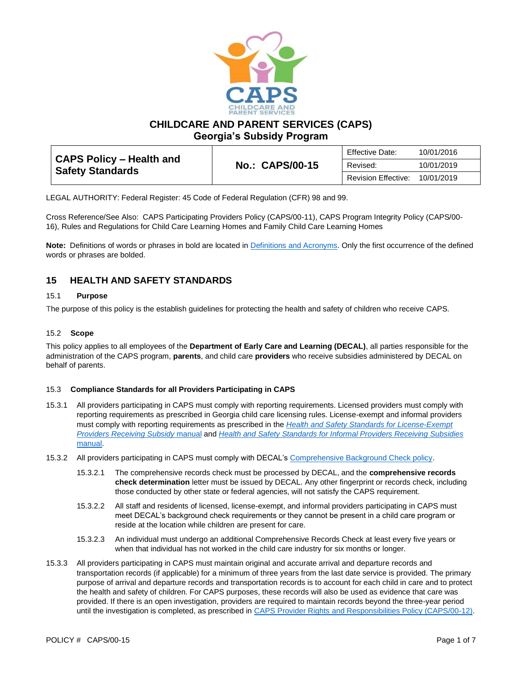

**CHILDCARE AND PARENT SERVICES (CAPS)**

**Georgia's Subsidy Program**

|                                                            |                        | Effective Date:     | 10/01/2016 |
|------------------------------------------------------------|------------------------|---------------------|------------|
| <b>CAPS Policy – Health and</b><br><b>Safety Standards</b> | <b>No.: CAPS/00-15</b> | Revised:            | 10/01/2019 |
|                                                            |                        | Revision Effective: | 10/01/2019 |

LEGAL AUTHORITY: Federal Register: 45 Code of Federal Regulation (CFR) 98 and 99.

Cross Reference/See Also: CAPS Participating Providers Policy (CAPS/00-11), CAPS Program Integrity Policy (CAPS/00- 16), Rules and Regulations for Child Care Learning Homes and Family Child Care Learning Homes

**Note:** Definitions of words or phrases in bold are located i[n Definitions and Acronyms.](https://caps.decal.ga.gov/assets/downloads/CAPS/02-CAPS_Policy-Definitions%20and%20Acronyms.pdf) Only the first occurrence of the defined words or phrases are bolded.

# **15 HEALTH AND SAFETY STANDARDS**

# 15.1 **Purpose**

The purpose of this policy is the establish guidelines for protecting the health and safety of children who receive CAPS.

## 15.2 **Scope**

This policy applies to all employees of the **Department of Early Care and Learning (DECAL)**, all parties responsible for the administration of the CAPS program, **parents**, and child care **providers** who receive subsidies administered by DECAL on behalf of parents.

## 15.3 **Compliance Standards for all Providers Participating in CAPS**

- 15.3.1 All providers participating in CAPS must comply with reporting requirements. Licensed providers must comply with reporting requirements as prescribed in Georgia child care licensing rules. License-exempt and informal providers must comply with reporting requirements as prescribed in the *[Health and Safety Standards for License-Exempt](http://www.decal.ga.gov/documents/attachments/ExemptprogramsHealth&SafetyStandards.pdf)  [Providers Receiving Subsidy](http://www.decal.ga.gov/documents/attachments/ExemptprogramsHealth&SafetyStandards.pdf)* manual and *[Health and Safety Standards for Informal Providers Receiving Subsidies](https://caps.decal.ga.gov/assets/downloads/CAPS/Appendix_HH-Health%20and%20Safety%20Standards%20for%20Informal%20Providers.pdf)*  [manual.](https://caps.decal.ga.gov/assets/downloads/CAPS/Appendix_HH-Health%20and%20Safety%20Standards%20for%20Informal%20Providers.pdf)
- 15.3.2 All providers participating in CAPS must comply with DECAL's [Comprehensive Background Check policy.](http://decal.ga.gov/documents/attachments/crcpolicy.pdf)
	- 15.3.2.1 The comprehensive records check must be processed by DECAL, and the **comprehensive records check determination** letter must be issued by DECAL. Any other fingerprint or records check, including those conducted by other state or federal agencies, will not satisfy the CAPS requirement.
	- 15.3.2.2 All staff and residents of licensed, license-exempt, and informal providers participating in CAPS must meet DECAL's background check requirements or they cannot be present in a child care program or reside at the location while children are present for care.
	- 15.3.2.3 An individual must undergo an additional Comprehensive Records Check at least every five years or when that individual has not worked in the child care industry for six months or longer.
- 15.3.3 All providers participating in CAPS must maintain original and accurate arrival and departure records and transportation records (if applicable) for a minimum of three years from the last date service is provided. The primary purpose of arrival and departure records and transportation records is to account for each child in care and to protect the health and safety of children. For CAPS purposes, these records will also be used as evidence that care was provided. If there is an open investigation, providers are required to maintain records beyond the three-year period until the investigation is completed, as prescribed in [CAPS Provider Rights and Responsibilities Policy \(CAPS/00-12\).](https://caps.decal.ga.gov/assets/downloads/CAPS/12-CAPS_Policy-Child%20Care%20Provider%20Rights%20&%20Responsibilities.pdf)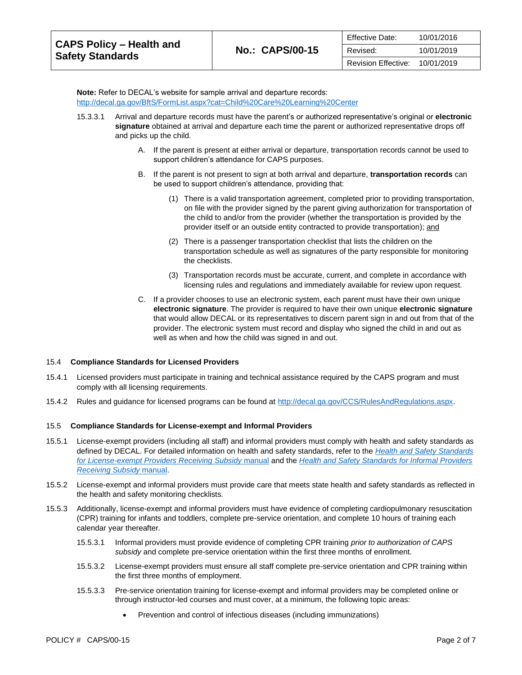| <b>CAPS Policy – Health and</b><br><b>Safety Standards</b> |                        | Effective Date:     | 10/01/2016 |
|------------------------------------------------------------|------------------------|---------------------|------------|
|                                                            | <b>No.: CAPS/00-15</b> | Revised:            | 10/01/2019 |
|                                                            |                        | Revision Effective: | 10/01/2019 |

**Note:** Refer to DECAL's website for sample arrival and departure records: <http://decal.ga.gov/BftS/FormList.aspx?cat=Child%20Care%20Learning%20Center>

- 15.3.3.1 Arrival and departure records must have the parent's or authorized representative's original or **electronic signature** obtained at arrival and departure each time the parent or authorized representative drops off and picks up the child.
	- A. If the parent is present at either arrival or departure, transportation records cannot be used to support children's attendance for CAPS purposes.
	- B. If the parent is not present to sign at both arrival and departure, **transportation records** can be used to support children's attendance, providing that:
		- (1) There is a valid transportation agreement, completed prior to providing transportation, on file with the provider signed by the parent giving authorization for transportation of the child to and/or from the provider (whether the transportation is provided by the provider itself or an outside entity contracted to provide transportation); and
		- (2) There is a passenger transportation checklist that lists the children on the transportation schedule as well as signatures of the party responsible for monitoring the checklists.
		- (3) Transportation records must be accurate, current, and complete in accordance with licensing rules and regulations and immediately available for review upon request.
	- C. If a provider chooses to use an electronic system, each parent must have their own unique **electronic signature**. The provider is required to have their own unique **electronic signature** that would allow DECAL or its representatives to discern parent sign in and out from that of the provider. The electronic system must record and display who signed the child in and out as well as when and how the child was signed in and out.

## 15.4 **Compliance Standards for Licensed Providers**

- 15.4.1 Licensed providers must participate in training and technical assistance required by the CAPS program and must comply with all licensing requirements.
- 15.4.2 Rules and guidance for licensed programs can be found a[t http://decal.ga.gov/CCS/RulesAndRegulations.aspx.](http://decal.ga.gov/CCS/RulesAndRegulations.aspx)

#### 15.5 **Compliance Standards for License-exempt and Informal Providers**

- 15.5.1 License-exempt providers (including all staff) and informal providers must comply with health and safety standards as defined by DECAL. For detailed information on health and safety standards, refer to the *[Health and Safety Standards](http://decal.ga.gov/documents/attachments/ExemptprogramsHealth&SafetyStandards.pdf)  [for License-exempt Providers Receiving Subsidy](http://decal.ga.gov/documents/attachments/ExemptprogramsHealth&SafetyStandards.pdf)* manual and the *[Health and Safety Standards for Informal Providers](https://caps.decal.ga.gov/assets/downloads/CAPS/Appendix_HH-Health%20and%20Safety%20Standards%20for%20Informal%20Providers.pdf)  [Receiving Subsidy](https://caps.decal.ga.gov/assets/downloads/CAPS/Appendix_HH-Health%20and%20Safety%20Standards%20for%20Informal%20Providers.pdf)* manual.
- 15.5.2 License-exempt and informal providers must provide care that meets state health and safety standards as reflected in the health and safety monitoring checklists.
- 15.5.3 Additionally, license-exempt and informal providers must have evidence of completing cardiopulmonary resuscitation (CPR) training for infants and toddlers, complete pre-service orientation, and complete 10 hours of training each calendar year thereafter.
	- 15.5.3.1 Informal providers must provide evidence of completing CPR training *prior to authorization of CAPS subsidy* and complete pre-service orientation within the first three months of enrollment.
	- 15.5.3.2 License-exempt providers must ensure all staff complete pre-service orientation and CPR training within the first three months of employment.
	- 15.5.3.3 Pre-service orientation training for license-exempt and informal providers may be completed online or through instructor-led courses and must cover, at a minimum, the following topic areas:
		- Prevention and control of infectious diseases (including immunizations)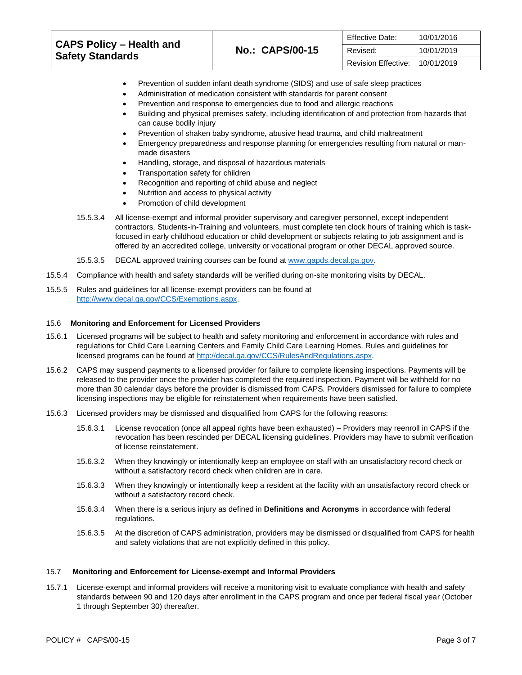|                                                            |                        | <b>Effective Date:</b> | 10/01/2016 |
|------------------------------------------------------------|------------------------|------------------------|------------|
| <b>CAPS Policy – Health and</b><br><b>Safety Standards</b> | <b>No.: CAPS/00-15</b> | Revised:               | 10/01/2019 |
|                                                            |                        | Revision Effective:    | 10/01/2019 |

- Prevention of sudden infant death syndrome (SIDS) and use of safe sleep practices
- Administration of medication consistent with standards for parent consent
- Prevention and response to emergencies due to food and allergic reactions
- Building and physical premises safety, including identification of and protection from hazards that can cause bodily injury
- Prevention of shaken baby syndrome, abusive head trauma, and child maltreatment
- Emergency preparedness and response planning for emergencies resulting from natural or manmade disasters
- Handling, storage, and disposal of hazardous materials
- Transportation safety for children
- Recognition and reporting of child abuse and neglect
- Nutrition and access to physical activity
- Promotion of child development
- 15.5.3.4 All license-exempt and informal provider supervisory and caregiver personnel, except independent contractors, Students-in-Training and volunteers, must complete ten clock hours of training which is taskfocused in early childhood education or child development or subjects relating to job assignment and is offered by an accredited college, university or vocational program or other DECAL approved source.
- 15.5.3.5 DECAL approved training courses can be found at [www.gapds.decal.ga.gov.](http://www.gapds.decal.ga.gov/)
- 15.5.4 Compliance with health and safety standards will be verified during on-site monitoring visits by DECAL.
- 15.5.5 Rules and guidelines for all license-exempt providers can be found at [http://www.decal.ga.gov/CCS/Exemptions.aspx.](http://www.decal.ga.gov/CCS/Exemptions.aspx)

#### 15.6 **Monitoring and Enforcement for Licensed Providers**

- 15.6.1 Licensed programs will be subject to health and safety monitoring and enforcement in accordance with rules and regulations for Child Care Learning Centers and Family Child Care Learning Homes. Rules and guidelines for licensed programs can be found a[t http://decal.ga.gov/CCS/RulesAndRegulations.aspx.](http://decal.ga.gov/CCS/RulesAndRegulations.aspx)
- 15.6.2 CAPS may suspend payments to a licensed provider for failure to complete licensing inspections. Payments will be released to the provider once the provider has completed the required inspection. Payment will be withheld for no more than 30 calendar days before the provider is dismissed from CAPS. Providers dismissed for failure to complete licensing inspections may be eligible for reinstatement when requirements have been satisfied.
- 15.6.3 Licensed providers may be dismissed and disqualified from CAPS for the following reasons:
	- 15.6.3.1 License revocation (once all appeal rights have been exhausted) Providers may reenroll in CAPS if the revocation has been rescinded per DECAL licensing guidelines. Providers may have to submit verification of license reinstatement.
	- 15.6.3.2 When they knowingly or intentionally keep an employee on staff with an unsatisfactory record check or without a satisfactory record check when children are in care.
	- 15.6.3.3 When they knowingly or intentionally keep a resident at the facility with an unsatisfactory record check or without a satisfactory record check.
	- 15.6.3.4 When there is a serious injury as defined in **[Definitions and Acronyms](https://caps.decal.ga.gov/assets/downloads/CAPS/02-CAPS_Policy-Definitions%20and%20Acronyms.pdf)** in accordance with federal regulations.
	- 15.6.3.5 At the discretion of CAPS administration, providers may be dismissed or disqualified from CAPS for health and safety violations that are not explicitly defined in this policy.

#### 15.7 **Monitoring and Enforcement for License-exempt and Informal Providers**

15.7.1 License-exempt and informal providers will receive a monitoring visit to evaluate compliance with health and safety standards between 90 and 120 days after enrollment in the CAPS program and once per federal fiscal year (October 1 through September 30) thereafter.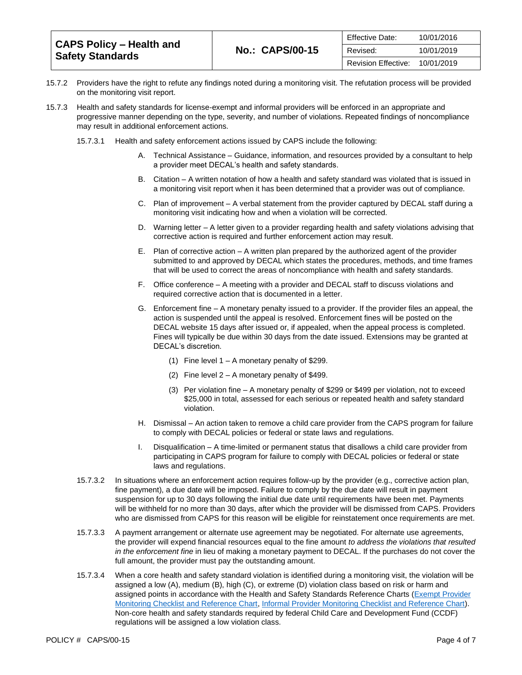|                                                     |                        | Effective Date:     | 10/01/2016 |
|-----------------------------------------------------|------------------------|---------------------|------------|
| CAPS Policy – Health and<br><b>Safety Standards</b> | <b>No.: CAPS/00-15</b> | Revised:            | 10/01/2019 |
|                                                     |                        | Revision Effective: | 10/01/2019 |

- 15.7.2 Providers have the right to refute any findings noted during a monitoring visit. The refutation process will be provided on the monitoring visit report.
- 15.7.3 Health and safety standards for license-exempt and informal providers will be enforced in an appropriate and progressive manner depending on the type, severity, and number of violations. Repeated findings of noncompliance may result in additional enforcement actions.
	- 15.7.3.1 Health and safety enforcement actions issued by CAPS include the following:
		- A. Technical Assistance Guidance, information, and resources provided by a consultant to help a provider meet DECAL's health and safety standards.
		- B. Citation A written notation of how a health and safety standard was violated that is issued in a monitoring visit report when it has been determined that a provider was out of compliance.
		- C. Plan of improvement A verbal statement from the provider captured by DECAL staff during a monitoring visit indicating how and when a violation will be corrected.
		- D. Warning letter A letter given to a provider regarding health and safety violations advising that corrective action is required and further enforcement action may result.
		- E. Plan of corrective action A written plan prepared by the authorized agent of the provider submitted to and approved by DECAL which states the procedures, methods, and time frames that will be used to correct the areas of noncompliance with health and safety standards.
		- F. Office conference A meeting with a provider and DECAL staff to discuss violations and required corrective action that is documented in a letter.
		- G. Enforcement fine A monetary penalty issued to a provider. If the provider files an appeal, the action is suspended until the appeal is resolved. Enforcement fines will be posted on the DECAL website 15 days after issued or, if appealed, when the appeal process is completed. Fines will typically be due within 30 days from the date issued. Extensions may be granted at DECAL's discretion.
			- (1) Fine level 1 A monetary penalty of \$299.
			- (2) Fine level 2 A monetary penalty of \$499.
			- (3) Per violation fine A monetary penalty of \$299 or \$499 per violation, not to exceed \$25,000 in total, assessed for each serious or repeated health and safety standard violation.
		- H. Dismissal An action taken to remove a child care provider from the CAPS program for failure to comply with DECAL policies or federal or state laws and regulations.
		- I. Disqualification A time-limited or permanent status that disallows a child care provider from participating in CAPS program for failure to comply with DECAL policies or federal or state laws and regulations.
	- 15.7.3.2 In situations where an enforcement action requires follow-up by the provider (e.g., corrective action plan, fine payment), a due date will be imposed. Failure to comply by the due date will result in payment suspension for up to 30 days following the initial due date until requirements have been met. Payments will be withheld for no more than 30 days, after which the provider will be dismissed from CAPS. Providers who are dismissed from CAPS for this reason will be eligible for reinstatement once requirements are met.
	- 15.7.3.3 A payment arrangement or alternate use agreement may be negotiated. For alternate use agreements, the provider will expend financial resources equal to the fine amount *to address the violations that resulted in the enforcement fine* in lieu of making a monetary payment to DECAL. If the purchases do not cover the full amount, the provider must pay the outstanding amount.
	- 15.7.3.4 When a core health and safety standard violation is identified during a monitoring visit, the violation will be assigned a low (A), medium (B), high (C), or extreme (D) violation class based on risk or harm and assigned points in accordance with the Health and Safety Standards Reference Charts [\(Exempt Provider](https://caps.decal.ga.gov/assets/downloads/CAPS/Appendix_GG-Exempt%20Provider%20Checklist.pdf)  [Monitoring Checklist and Reference Chart,](https://caps.decal.ga.gov/assets/downloads/CAPS/Appendix_GG-Exempt%20Provider%20Checklist.pdf) [Informal Provider Monitoring Checklist and Reference Chart\)](https://caps.decal.ga.gov/assets/downloads/CAPS/AppendixT-Informal%20Provider%20Checklist.pdf). Non-core health and safety standards required by federal Child Care and Development Fund (CCDF) regulations will be assigned a low violation class.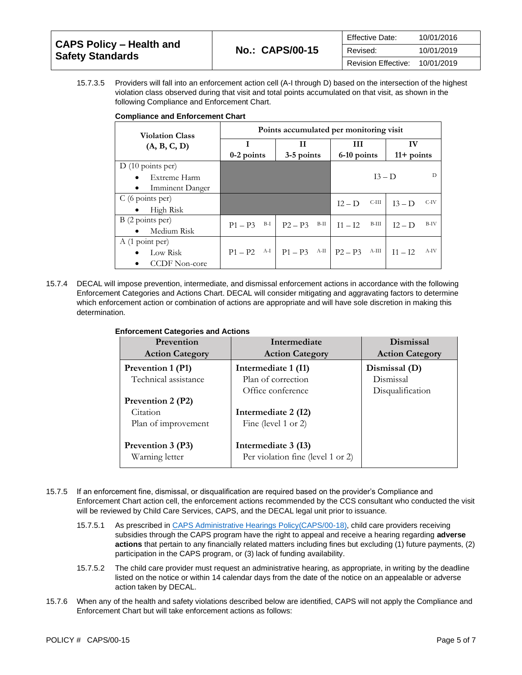|                                                            |                        | <b>Effective Date:</b> | 10/01/2016 |
|------------------------------------------------------------|------------------------|------------------------|------------|
| <b>CAPS Policy – Health and</b><br><b>Safety Standards</b> | <b>No.: CAPS/00-15</b> | Revised:               | 10/01/2019 |
|                                                            |                        | Revision Effective:    | 10/01/2019 |

15.7.3.5 Providers will fall into an enforcement action cell (A-I through D) based on the intersection of the highest violation class observed during that visit and total points accumulated on that visit, as shown in the following Compliance and Enforcement Chart.

|  | <b>Compliance and Enforcement Chart</b> |  |
|--|-----------------------------------------|--|
|  |                                         |  |

| <b>Violation Class</b>              | Points accumulated per monitoring visit |                   |                    |                   |
|-------------------------------------|-----------------------------------------|-------------------|--------------------|-------------------|
| (A, B, C, D)                        | I                                       | Н                 | Ш                  | IV                |
|                                     | $0-2$ points                            | 3-5 points        | 6-10 points        | $11+$ points      |
| $D(10 \text{ points per})$          |                                         |                   |                    |                   |
| Extreme Harm                        |                                         |                   | $I3 - D$           | D                 |
| <b>Imminent Danger</b><br>$\bullet$ |                                         |                   |                    |                   |
| $C(6 \text{ points per})$           |                                         |                   | C-III<br>$12 - D$  | C-IV<br>$13-D$    |
| High Risk                           |                                         |                   |                    |                   |
| B (2 points per)                    | B-I<br>$P1 - P3$                        | B-II<br>$P2 - P3$ | B-III<br>$11 - 12$ | B-IV<br>$I2 - D$  |
| Medium Risk                         |                                         |                   |                    |                   |
| A (1 point per)                     |                                         |                   |                    |                   |
| Low Risk                            | A-I<br>$P1 - P2$                        | А-П<br>$P1 - P3$  | A-III<br>$P2 - P3$ | A-IV<br>$I1 - I2$ |
| <b>CCDF</b> Non-core                |                                         |                   |                    |                   |

15.7.4 DECAL will impose prevention, intermediate, and dismissal enforcement actions in accordance with the following Enforcement Categories and Actions Chart. DECAL will consider mitigating and aggravating factors to determine which enforcement action or combination of actions are appropriate and will have sole discretion in making this determination.

| <b>Enforcement Categories and Actions</b> |  |  |  |
|-------------------------------------------|--|--|--|
|-------------------------------------------|--|--|--|

| Prevention             | Intermediate                      | Dismissal              |
|------------------------|-----------------------------------|------------------------|
| <b>Action Category</b> | <b>Action Category</b>            | <b>Action Category</b> |
| Prevention 1 (P1)      | Intermediate 1 (I1)               | Dismissal (D)          |
| Technical assistance   | Plan of correction                | Dismissal              |
|                        | Office conference                 | Disqualification       |
| Prevention 2 (P2)      |                                   |                        |
| Citation               | Intermediate 2 (I2)               |                        |
| Plan of improvement    | Fine (level 1 or 2)               |                        |
|                        |                                   |                        |
| Prevention 3 (P3)      | Intermediate 3 (I3)               |                        |
| Warning letter         | Per violation fine (level 1 or 2) |                        |

- 15.7.5 If an enforcement fine, dismissal, or disqualification are required based on the provider's Compliance and Enforcement Chart action cell, the enforcement actions recommended by the CCS consultant who conducted the visit will be reviewed by Child Care Services, CAPS, and the DECAL legal unit prior to issuance.
	- 15.7.5.1 As prescribed in [CAPS Administrative Hearings Policy\(CAPS/00-18\),](https://caps.decal.ga.gov/assets/downloads/CAPS/18-CAPS_Policy-Administrative%20Hearings.pdf) child care providers receiving subsidies through the CAPS program have the right to appeal and receive a hearing regarding **adverse actions** that pertain to any financially related matters including fines but excluding (1) future payments, (2) participation in the CAPS program, or (3) lack of funding availability.
	- 15.7.5.2 The child care provider must request an administrative hearing, as appropriate, in writing by the deadline listed on the notice or within 14 calendar days from the date of the notice on an appealable or adverse action taken by DECAL.
- 15.7.6 When any of the health and safety violations described below are identified, CAPS will not apply the Compliance and Enforcement Chart but will take enforcement actions as follows: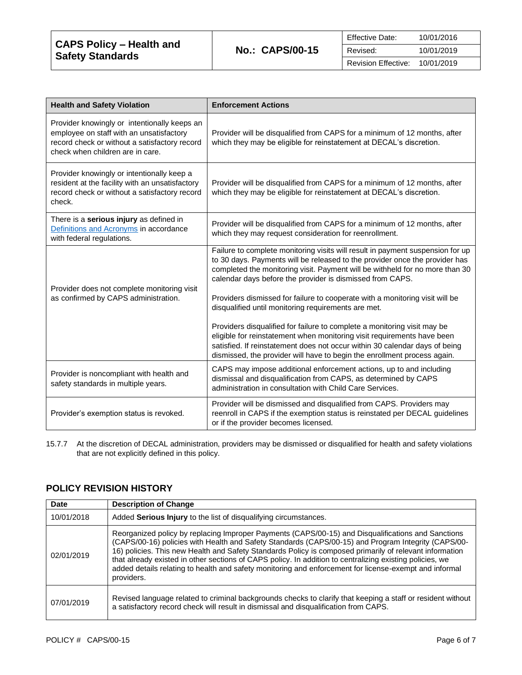| CAPS Policy – Health and |                        | Effective Date:     | 10/01/2016 |
|--------------------------|------------------------|---------------------|------------|
| <b>Safety Standards</b>  | <b>No.: CAPS/00-15</b> | Revised:            | 10/01/2019 |
|                          |                        | Revision Effective: | 10/01/2019 |

| <b>Health and Safety Violation</b>                                                                                                                                            | <b>Enforcement Actions</b>                                                                                                                                                                                                                                                                                                                                                                                                                                                                                                    |
|-------------------------------------------------------------------------------------------------------------------------------------------------------------------------------|-------------------------------------------------------------------------------------------------------------------------------------------------------------------------------------------------------------------------------------------------------------------------------------------------------------------------------------------------------------------------------------------------------------------------------------------------------------------------------------------------------------------------------|
| Provider knowingly or intentionally keeps an<br>employee on staff with an unsatisfactory<br>record check or without a satisfactory record<br>check when children are in care. | Provider will be disqualified from CAPS for a minimum of 12 months, after<br>which they may be eligible for reinstatement at DECAL's discretion.                                                                                                                                                                                                                                                                                                                                                                              |
| Provider knowingly or intentionally keep a<br>resident at the facility with an unsatisfactory<br>record check or without a satisfactory record<br>check.                      | Provider will be disqualified from CAPS for a minimum of 12 months, after<br>which they may be eligible for reinstatement at DECAL's discretion.                                                                                                                                                                                                                                                                                                                                                                              |
| There is a serious injury as defined in<br>Definitions and Acronyms in accordance<br>with federal regulations.                                                                | Provider will be disqualified from CAPS for a minimum of 12 months, after<br>which they may request consideration for reenrollment.                                                                                                                                                                                                                                                                                                                                                                                           |
| Provider does not complete monitoring visit<br>as confirmed by CAPS administration.                                                                                           | Failure to complete monitoring visits will result in payment suspension for up<br>to 30 days. Payments will be released to the provider once the provider has<br>completed the monitoring visit. Payment will be withheld for no more than 30<br>calendar days before the provider is dismissed from CAPS.<br>Providers dismissed for failure to cooperate with a monitoring visit will be<br>disqualified until monitoring requirements are met.<br>Providers disqualified for failure to complete a monitoring visit may be |
|                                                                                                                                                                               | eligible for reinstatement when monitoring visit requirements have been<br>satisfied. If reinstatement does not occur within 30 calendar days of being<br>dismissed, the provider will have to begin the enrollment process again.                                                                                                                                                                                                                                                                                            |
| Provider is noncompliant with health and<br>safety standards in multiple years.                                                                                               | CAPS may impose additional enforcement actions, up to and including<br>dismissal and disqualification from CAPS, as determined by CAPS<br>administration in consultation with Child Care Services.                                                                                                                                                                                                                                                                                                                            |
| Provider's exemption status is revoked.                                                                                                                                       | Provider will be dismissed and disqualified from CAPS. Providers may<br>reenroll in CAPS if the exemption status is reinstated per DECAL guidelines<br>or if the provider becomes licensed.                                                                                                                                                                                                                                                                                                                                   |

15.7.7 At the discretion of DECAL administration, providers may be dismissed or disqualified for health and safety violations that are not explicitly defined in this policy.

| <b>Date</b> | <b>Description of Change</b>                                                                                                                                                                                                                                                                                                                                                                                                                                                                                                                             |
|-------------|----------------------------------------------------------------------------------------------------------------------------------------------------------------------------------------------------------------------------------------------------------------------------------------------------------------------------------------------------------------------------------------------------------------------------------------------------------------------------------------------------------------------------------------------------------|
| 10/01/2018  | Added Serious Injury to the list of disqualifying circumstances.                                                                                                                                                                                                                                                                                                                                                                                                                                                                                         |
| 02/01/2019  | Reorganized policy by replacing Improper Payments (CAPS/00-15) and Disqualifications and Sanctions<br>(CAPS/00-16) policies with Health and Safety Standards (CAPS/00-15) and Program Integrity (CAPS/00-<br>16) policies. This new Health and Safety Standards Policy is composed primarily of relevant information<br>that already existed in other sections of CAPS policy. In addition to centralizing existing policies, we<br>added details relating to health and safety monitoring and enforcement for license-exempt and informal<br>providers. |
| 07/01/2019  | Revised language related to criminal backgrounds checks to clarify that keeping a staff or resident without<br>a satisfactory record check will result in dismissal and disqualification from CAPS.                                                                                                                                                                                                                                                                                                                                                      |

# **POLICY REVISION HISTORY**